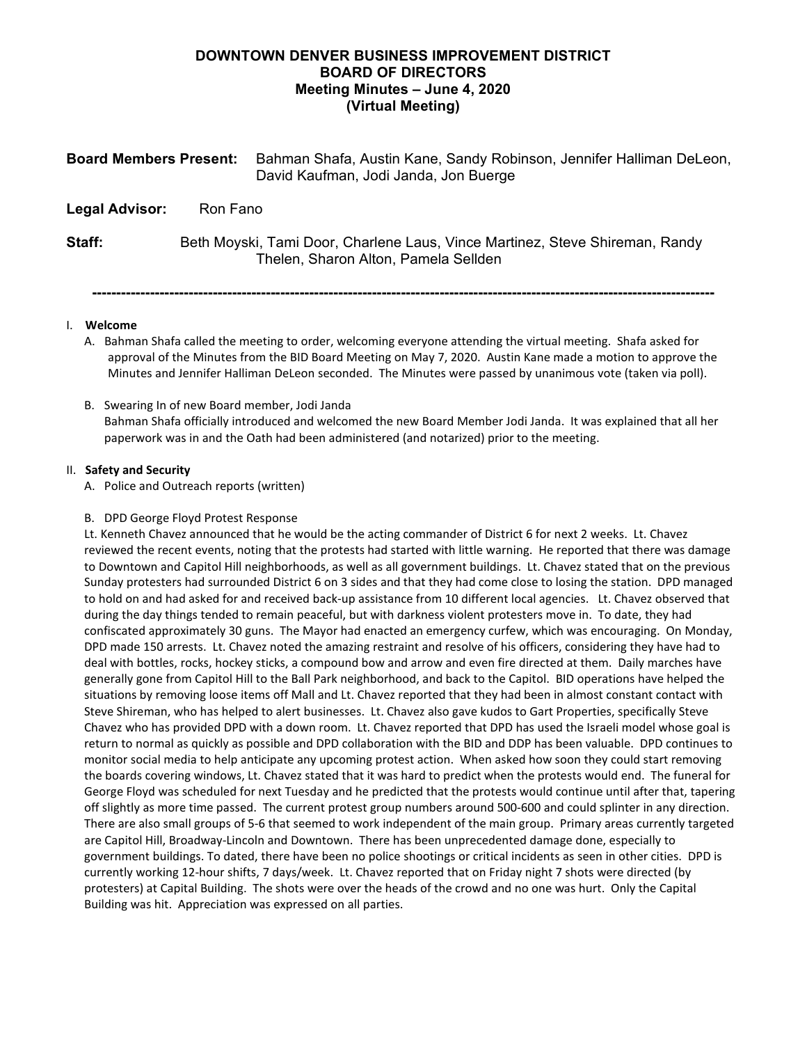# **DOWNTOWN DENVER BUSINESS IMPROVEMENT DISTRICT BOARD OF DIRECTORS Meeting Minutes – June 4, 2020 (Virtual Meeting)**

| <b>Board Members Present:</b> |                                                                                                                      | Bahman Shafa, Austin Kane, Sandy Robinson, Jennifer Halliman DeLeon,<br>David Kaufman, Jodi Janda, Jon Buerge |
|-------------------------------|----------------------------------------------------------------------------------------------------------------------|---------------------------------------------------------------------------------------------------------------|
| <b>Legal Advisor:</b>         | Ron Fano                                                                                                             |                                                                                                               |
| Staff:                        | Beth Moyski, Tami Door, Charlene Laus, Vince Martinez, Steve Shireman, Randy<br>Thelen, Sharon Alton, Pamela Sellden |                                                                                                               |
|                               |                                                                                                                      |                                                                                                               |

## I. **Welcome**

A. Bahman Shafa called the meeting to order, welcoming everyone attending the virtual meeting. Shafa asked for approval of the Minutes from the BID Board Meeting on May 7, 2020. Austin Kane made a motion to approve the Minutes and Jennifer Halliman DeLeon seconded. The Minutes were passed by unanimous vote (taken via poll).

## B. Swearing In of new Board member, Jodi Janda Bahman Shafa officially introduced and welcomed the new Board Member Jodi Janda. It was explained that all her paperwork was in and the Oath had been administered (and notarized) prior to the meeting.

## II. **Safety and Security**

A. Police and Outreach reports (written)

## B. DPD George Floyd Protest Response

Lt. Kenneth Chavez announced that he would be the acting commander of District 6 for next 2 weeks. Lt. Chavez reviewed the recent events, noting that the protests had started with little warning. He reported that there was damage to Downtown and Capitol Hill neighborhoods, as well as all government buildings. Lt. Chavez stated that on the previous Sunday protesters had surrounded District 6 on 3 sides and that they had come close to losing the station. DPD managed to hold on and had asked for and received back-up assistance from 10 different local agencies. Lt. Chavez observed that during the day things tended to remain peaceful, but with darkness violent protesters move in. To date, they had confiscated approximately 30 guns. The Mayor had enacted an emergency curfew, which was encouraging. On Monday, DPD made 150 arrests. Lt. Chavez noted the amazing restraint and resolve of his officers, considering they have had to deal with bottles, rocks, hockey sticks, a compound bow and arrow and even fire directed at them. Daily marches have generally gone from Capitol Hill to the Ball Park neighborhood, and back to the Capitol. BID operations have helped the situations by removing loose items off Mall and Lt. Chavez reported that they had been in almost constant contact with Steve Shireman, who has helped to alert businesses. Lt. Chavez also gave kudos to Gart Properties, specifically Steve Chavez who has provided DPD with a down room. Lt. Chavez reported that DPD has used the Israeli model whose goal is return to normal as quickly as possible and DPD collaboration with the BID and DDP has been valuable. DPD continues to monitor social media to help anticipate any upcoming protest action. When asked how soon they could start removing the boards covering windows, Lt. Chavez stated that it was hard to predict when the protests would end. The funeral for George Floyd was scheduled for next Tuesday and he predicted that the protests would continue until after that, tapering off slightly as more time passed. The current protest group numbers around 500-600 and could splinter in any direction. There are also small groups of 5-6 that seemed to work independent of the main group. Primary areas currently targeted are Capitol Hill, Broadway-Lincoln and Downtown. There has been unprecedented damage done, especially to government buildings. To dated, there have been no police shootings or critical incidents as seen in other cities. DPD is currently working 12-hour shifts, 7 days/week. Lt. Chavez reported that on Friday night 7 shots were directed (by protesters) at Capital Building. The shots were over the heads of the crowd and no one was hurt. Only the Capital Building was hit. Appreciation was expressed on all parties.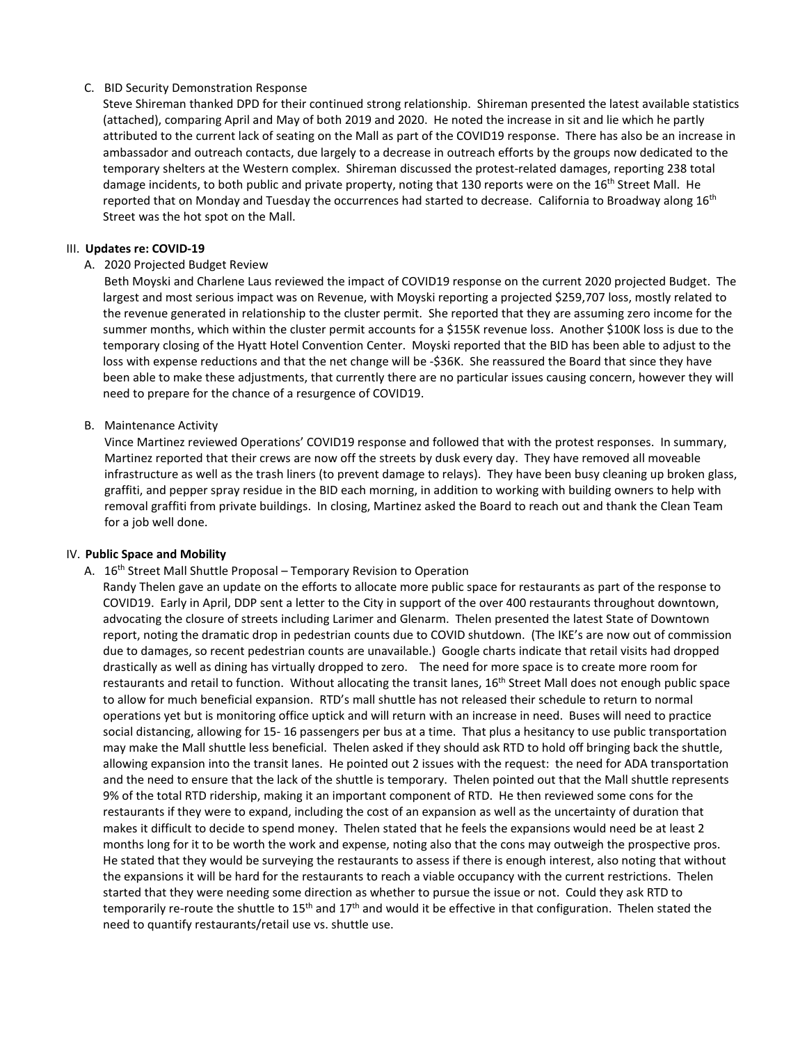## C. BID Security Demonstration Response

Steve Shireman thanked DPD for their continued strong relationship. Shireman presented the latest available statistics (attached), comparing April and May of both 2019 and 2020. He noted the increase in sit and lie which he partly attributed to the current lack of seating on the Mall as part of the COVID19 response. There has also be an increase in ambassador and outreach contacts, due largely to a decrease in outreach efforts by the groups now dedicated to the temporary shelters at the Western complex. Shireman discussed the protest-related damages, reporting 238 total damage incidents, to both public and private property, noting that 130 reports were on the 16<sup>th</sup> Street Mall. He reported that on Monday and Tuesday the occurrences had started to decrease. California to Broadway along 16<sup>th</sup> Street was the hot spot on the Mall.

#### III. **Updates re: COVID-19**

### A. 2020 Projected Budget Review

Beth Moyski and Charlene Laus reviewed the impact of COVID19 response on the current 2020 projected Budget. The largest and most serious impact was on Revenue, with Moyski reporting a projected \$259,707 loss, mostly related to the revenue generated in relationship to the cluster permit. She reported that they are assuming zero income for the summer months, which within the cluster permit accounts for a \$155K revenue loss. Another \$100K loss is due to the temporary closing of the Hyatt Hotel Convention Center. Moyski reported that the BID has been able to adjust to the loss with expense reductions and that the net change will be -\$36K. She reassured the Board that since they have been able to make these adjustments, that currently there are no particular issues causing concern, however they will need to prepare for the chance of a resurgence of COVID19.

### B. Maintenance Activity

Vince Martinez reviewed Operations' COVID19 response and followed that with the protest responses. In summary, Martinez reported that their crews are now off the streets by dusk every day. They have removed all moveable infrastructure as well as the trash liners (to prevent damage to relays). They have been busy cleaning up broken glass, graffiti, and pepper spray residue in the BID each morning, in addition to working with building owners to help with removal graffiti from private buildings. In closing, Martinez asked the Board to reach out and thank the Clean Team for a job well done.

#### IV. **Public Space and Mobility**

A. 16<sup>th</sup> Street Mall Shuttle Proposal – Temporary Revision to Operation

Randy Thelen gave an update on the efforts to allocate more public space for restaurants as part of the response to COVID19. Early in April, DDP sent a letter to the City in support of the over 400 restaurants throughout downtown, advocating the closure of streets including Larimer and Glenarm. Thelen presented the latest State of Downtown report, noting the dramatic drop in pedestrian counts due to COVID shutdown. (The IKE's are now out of commission due to damages, so recent pedestrian counts are unavailable.) Google charts indicate that retail visits had dropped drastically as well as dining has virtually dropped to zero. The need for more space is to create more room for restaurants and retail to function. Without allocating the transit lanes, 16<sup>th</sup> Street Mall does not enough public space to allow for much beneficial expansion. RTD's mall shuttle has not released their schedule to return to normal operations yet but is monitoring office uptick and will return with an increase in need. Buses will need to practice social distancing, allowing for 15- 16 passengers per bus at a time. That plus a hesitancy to use public transportation may make the Mall shuttle less beneficial. Thelen asked if they should ask RTD to hold off bringing back the shuttle, allowing expansion into the transit lanes. He pointed out 2 issues with the request: the need for ADA transportation and the need to ensure that the lack of the shuttle is temporary. Thelen pointed out that the Mall shuttle represents 9% of the total RTD ridership, making it an important component of RTD. He then reviewed some cons for the restaurants if they were to expand, including the cost of an expansion as well as the uncertainty of duration that makes it difficult to decide to spend money. Thelen stated that he feels the expansions would need be at least 2 months long for it to be worth the work and expense, noting also that the cons may outweigh the prospective pros. He stated that they would be surveying the restaurants to assess if there is enough interest, also noting that without the expansions it will be hard for the restaurants to reach a viable occupancy with the current restrictions. Thelen started that they were needing some direction as whether to pursue the issue or not. Could they ask RTD to temporarily re-route the shuttle to 15<sup>th</sup> and 17<sup>th</sup> and would it be effective in that configuration. Thelen stated the need to quantify restaurants/retail use vs. shuttle use.